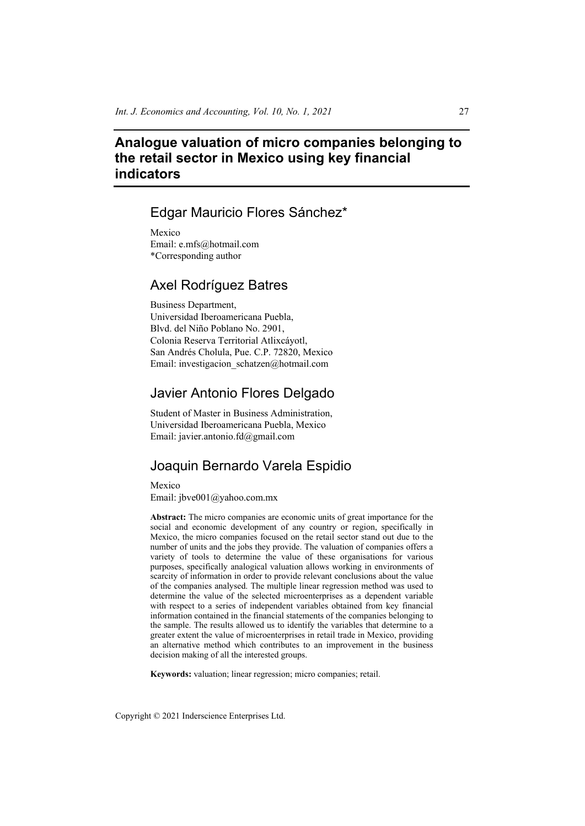# **Analogue valuation of micro companies belonging to the retail sector in Mexico using key financial indicators**

# Edgar Mauricio Flores Sánchez\*

Mexico Email: e.mfs@hotmail.com \*Corresponding author

# Axel Rodríguez Batres

Business Department, Universidad Iberoamericana Puebla, Blvd. del Niño Poblano No. 2901, Colonia Reserva Territorial Atlixcáyotl, San Andrés Cholula, Pue. C.P. 72820, Mexico Email: investigacion\_schatzen@hotmail.com

# Javier Antonio Flores Delgado

Student of Master in Business Administration, Universidad Iberoamericana Puebla, Mexico Email: javier.antonio.fd@gmail.com

# Joaquin Bernardo Varela Espidio

Mexico Email: jbve001@yahoo.com.mx

**Abstract:** The micro companies are economic units of great importance for the social and economic development of any country or region, specifically in Mexico, the micro companies focused on the retail sector stand out due to the number of units and the jobs they provide. The valuation of companies offers a variety of tools to determine the value of these organisations for various purposes, specifically analogical valuation allows working in environments of scarcity of information in order to provide relevant conclusions about the value of the companies analysed. The multiple linear regression method was used to determine the value of the selected microenterprises as a dependent variable with respect to a series of independent variables obtained from key financial information contained in the financial statements of the companies belonging to the sample. The results allowed us to identify the variables that determine to a greater extent the value of microenterprises in retail trade in Mexico, providing an alternative method which contributes to an improvement in the business decision making of all the interested groups.

**Keywords:** valuation; linear regression; micro companies; retail.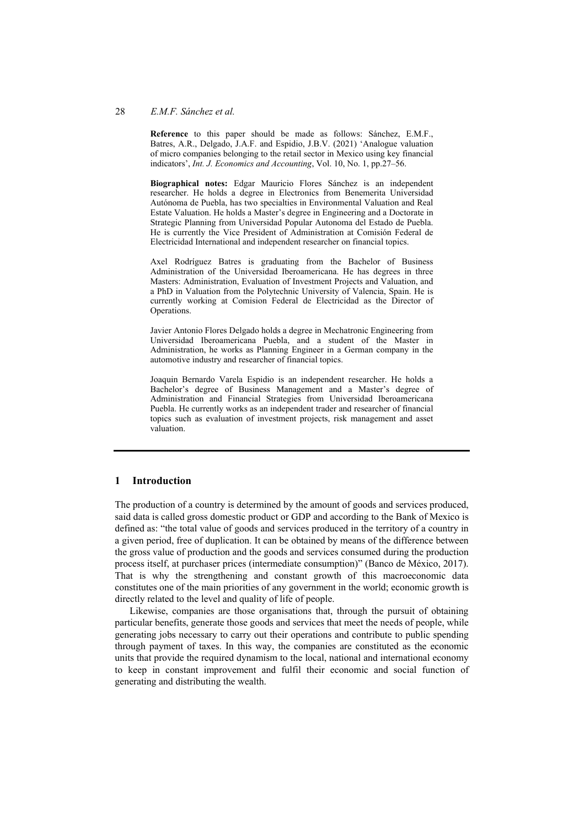#### 28 *E.M.F. Sánchez et al.*

**Reference** to this paper should be made as follows: Sánchez, E.M.F., Batres, A.R., Delgado, J.A.F. and Espidio, J.B.V. (2021) 'Analogue valuation of micro companies belonging to the retail sector in Mexico using key financial indicators', *Int. J. Economics and Accounting*, Vol. 10, No. 1, pp.27–56.

**Biographical notes:** Edgar Mauricio Flores Sánchez is an independent researcher. He holds a degree in Electronics from Benemerita Universidad Autónoma de Puebla, has two specialties in Environmental Valuation and Real Estate Valuation. He holds a Master's degree in Engineering and a Doctorate in Strategic Planning from Universidad Popular Autonoma del Estado de Puebla. He is currently the Vice President of Administration at Comisión Federal de Electricidad International and independent researcher on financial topics.

Axel Rodríguez Batres is graduating from the Bachelor of Business Administration of the Universidad Iberoamericana. He has degrees in three Masters: Administration, Evaluation of Investment Projects and Valuation, and a PhD in Valuation from the Polytechnic University of Valencia, Spain. He is currently working at Comision Federal de Electricidad as the Director of Operations.

Javier Antonio Flores Delgado holds a degree in Mechatronic Engineering from Universidad Iberoamericana Puebla, and a student of the Master in Administration, he works as Planning Engineer in a German company in the automotive industry and researcher of financial topics.

Joaquin Bernardo Varela Espidio is an independent researcher. He holds a Bachelor's degree of Business Management and a Master's degree of Administration and Financial Strategies from Universidad Iberoamericana Puebla. He currently works as an independent trader and researcher of financial topics such as evaluation of investment projects, risk management and asset valuation.

#### **1 Introduction**

The production of a country is determined by the amount of goods and services produced, said data is called gross domestic product or GDP and according to the Bank of Mexico is defined as: "the total value of goods and services produced in the territory of a country in a given period, free of duplication. It can be obtained by means of the difference between the gross value of production and the goods and services consumed during the production process itself, at purchaser prices (intermediate consumption)" (Banco de México, 2017). That is why the strengthening and constant growth of this macroeconomic data constitutes one of the main priorities of any government in the world; economic growth is directly related to the level and quality of life of people.

Likewise, companies are those organisations that, through the pursuit of obtaining particular benefits, generate those goods and services that meet the needs of people, while generating jobs necessary to carry out their operations and contribute to public spending through payment of taxes. In this way, the companies are constituted as the economic units that provide the required dynamism to the local, national and international economy to keep in constant improvement and fulfil their economic and social function of generating and distributing the wealth.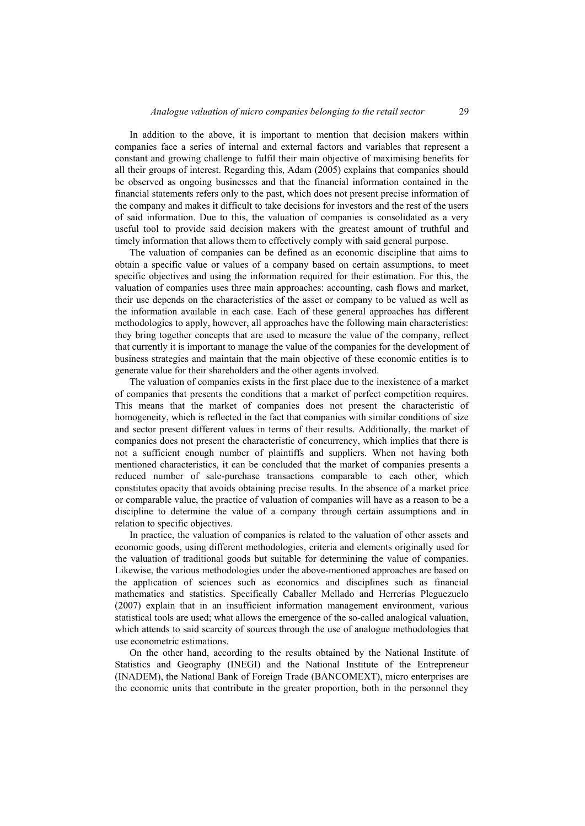In addition to the above, it is important to mention that decision makers within companies face a series of internal and external factors and variables that represent a constant and growing challenge to fulfil their main objective of maximising benefits for all their groups of interest. Regarding this, Adam (2005) explains that companies should be observed as ongoing businesses and that the financial information contained in the financial statements refers only to the past, which does not present precise information of the company and makes it difficult to take decisions for investors and the rest of the users of said information. Due to this, the valuation of companies is consolidated as a very useful tool to provide said decision makers with the greatest amount of truthful and timely information that allows them to effectively comply with said general purpose.

The valuation of companies can be defined as an economic discipline that aims to obtain a specific value or values of a company based on certain assumptions, to meet specific objectives and using the information required for their estimation. For this, the valuation of companies uses three main approaches: accounting, cash flows and market, their use depends on the characteristics of the asset or company to be valued as well as the information available in each case. Each of these general approaches has different methodologies to apply, however, all approaches have the following main characteristics: they bring together concepts that are used to measure the value of the company, reflect that currently it is important to manage the value of the companies for the development of business strategies and maintain that the main objective of these economic entities is to generate value for their shareholders and the other agents involved.

The valuation of companies exists in the first place due to the inexistence of a market of companies that presents the conditions that a market of perfect competition requires. This means that the market of companies does not present the characteristic of homogeneity, which is reflected in the fact that companies with similar conditions of size and sector present different values in terms of their results. Additionally, the market of companies does not present the characteristic of concurrency, which implies that there is not a sufficient enough number of plaintiffs and suppliers. When not having both mentioned characteristics, it can be concluded that the market of companies presents a reduced number of sale-purchase transactions comparable to each other, which constitutes opacity that avoids obtaining precise results. In the absence of a market price or comparable value, the practice of valuation of companies will have as a reason to be a discipline to determine the value of a company through certain assumptions and in relation to specific objectives.

In practice, the valuation of companies is related to the valuation of other assets and economic goods, using different methodologies, criteria and elements originally used for the valuation of traditional goods but suitable for determining the value of companies. Likewise, the various methodologies under the above-mentioned approaches are based on the application of sciences such as economics and disciplines such as financial mathematics and statistics. Specifically Caballer Mellado and Herrerías Pleguezuelo (2007) explain that in an insufficient information management environment, various statistical tools are used; what allows the emergence of the so-called analogical valuation, which attends to said scarcity of sources through the use of analogue methodologies that use econometric estimations.

On the other hand, according to the results obtained by the National Institute of Statistics and Geography (INEGI) and the National Institute of the Entrepreneur (INADEM), the National Bank of Foreign Trade (BANCOMEXT), micro enterprises are the economic units that contribute in the greater proportion, both in the personnel they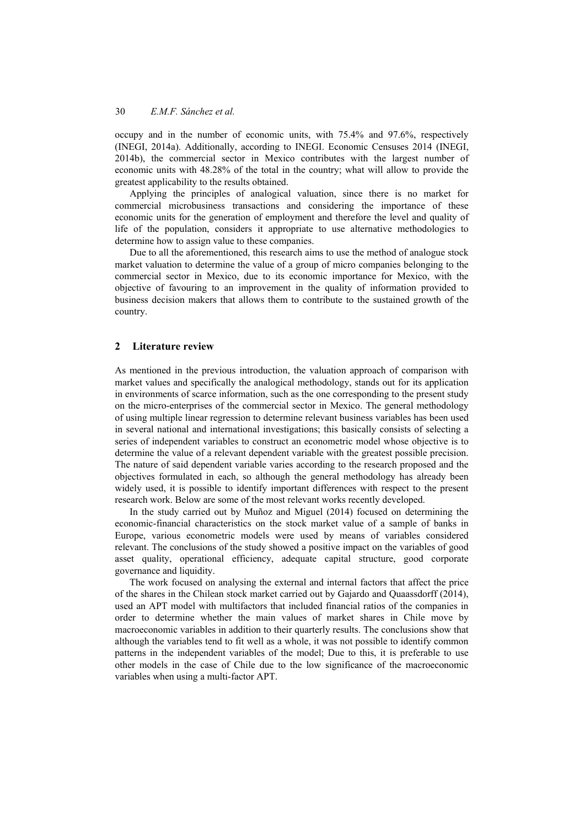occupy and in the number of economic units, with 75.4% and 97.6%, respectively (INEGI, 2014a). Additionally, according to INEGI. Economic Censuses 2014 (INEGI, 2014b), the commercial sector in Mexico contributes with the largest number of economic units with 48.28% of the total in the country; what will allow to provide the greatest applicability to the results obtained.

Applying the principles of analogical valuation, since there is no market for commercial microbusiness transactions and considering the importance of these economic units for the generation of employment and therefore the level and quality of life of the population, considers it appropriate to use alternative methodologies to determine how to assign value to these companies.

Due to all the aforementioned, this research aims to use the method of analogue stock market valuation to determine the value of a group of micro companies belonging to the commercial sector in Mexico, due to its economic importance for Mexico, with the objective of favouring to an improvement in the quality of information provided to business decision makers that allows them to contribute to the sustained growth of the country.

### **2 Literature review**

As mentioned in the previous introduction, the valuation approach of comparison with market values and specifically the analogical methodology, stands out for its application in environments of scarce information, such as the one corresponding to the present study on the micro-enterprises of the commercial sector in Mexico. The general methodology of using multiple linear regression to determine relevant business variables has been used in several national and international investigations; this basically consists of selecting a series of independent variables to construct an econometric model whose objective is to determine the value of a relevant dependent variable with the greatest possible precision. The nature of said dependent variable varies according to the research proposed and the objectives formulated in each, so although the general methodology has already been widely used, it is possible to identify important differences with respect to the present research work. Below are some of the most relevant works recently developed.

In the study carried out by Muñoz and Miguel (2014) focused on determining the economic-financial characteristics on the stock market value of a sample of banks in Europe, various econometric models were used by means of variables considered relevant. The conclusions of the study showed a positive impact on the variables of good asset quality, operational efficiency, adequate capital structure, good corporate governance and liquidity.

The work focused on analysing the external and internal factors that affect the price of the shares in the Chilean stock market carried out by Gajardo and Quaassdorff (2014), used an APT model with multifactors that included financial ratios of the companies in order to determine whether the main values of market shares in Chile move by macroeconomic variables in addition to their quarterly results. The conclusions show that although the variables tend to fit well as a whole, it was not possible to identify common patterns in the independent variables of the model; Due to this, it is preferable to use other models in the case of Chile due to the low significance of the macroeconomic variables when using a multi-factor APT.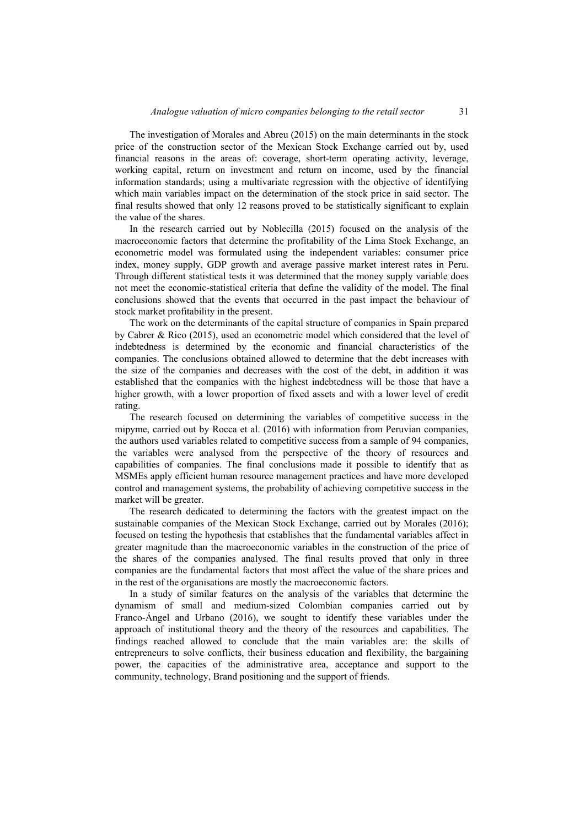The investigation of Morales and Abreu (2015) on the main determinants in the stock price of the construction sector of the Mexican Stock Exchange carried out by, used financial reasons in the areas of: coverage, short-term operating activity, leverage, working capital, return on investment and return on income, used by the financial information standards; using a multivariate regression with the objective of identifying which main variables impact on the determination of the stock price in said sector. The final results showed that only 12 reasons proved to be statistically significant to explain the value of the shares.

In the research carried out by Noblecilla (2015) focused on the analysis of the macroeconomic factors that determine the profitability of the Lima Stock Exchange, an econometric model was formulated using the independent variables: consumer price index, money supply, GDP growth and average passive market interest rates in Peru. Through different statistical tests it was determined that the money supply variable does not meet the economic-statistical criteria that define the validity of the model. The final conclusions showed that the events that occurred in the past impact the behaviour of stock market profitability in the present.

The work on the determinants of the capital structure of companies in Spain prepared by Cabrer & Rico (2015), used an econometric model which considered that the level of indebtedness is determined by the economic and financial characteristics of the companies. The conclusions obtained allowed to determine that the debt increases with the size of the companies and decreases with the cost of the debt, in addition it was established that the companies with the highest indebtedness will be those that have a higher growth, with a lower proportion of fixed assets and with a lower level of credit rating.

The research focused on determining the variables of competitive success in the mipyme, carried out by Rocca et al. (2016) with information from Peruvian companies, the authors used variables related to competitive success from a sample of 94 companies, the variables were analysed from the perspective of the theory of resources and capabilities of companies. The final conclusions made it possible to identify that as MSMEs apply efficient human resource management practices and have more developed control and management systems, the probability of achieving competitive success in the market will be greater.

The research dedicated to determining the factors with the greatest impact on the sustainable companies of the Mexican Stock Exchange, carried out by Morales (2016); focused on testing the hypothesis that establishes that the fundamental variables affect in greater magnitude than the macroeconomic variables in the construction of the price of the shares of the companies analysed. The final results proved that only in three companies are the fundamental factors that most affect the value of the share prices and in the rest of the organisations are mostly the macroeconomic factors.

In a study of similar features on the analysis of the variables that determine the dynamism of small and medium-sized Colombian companies carried out by Franco-Ángel and Urbano (2016), we sought to identify these variables under the approach of institutional theory and the theory of the resources and capabilities. The findings reached allowed to conclude that the main variables are: the skills of entrepreneurs to solve conflicts, their business education and flexibility, the bargaining power, the capacities of the administrative area, acceptance and support to the community, technology, Brand positioning and the support of friends.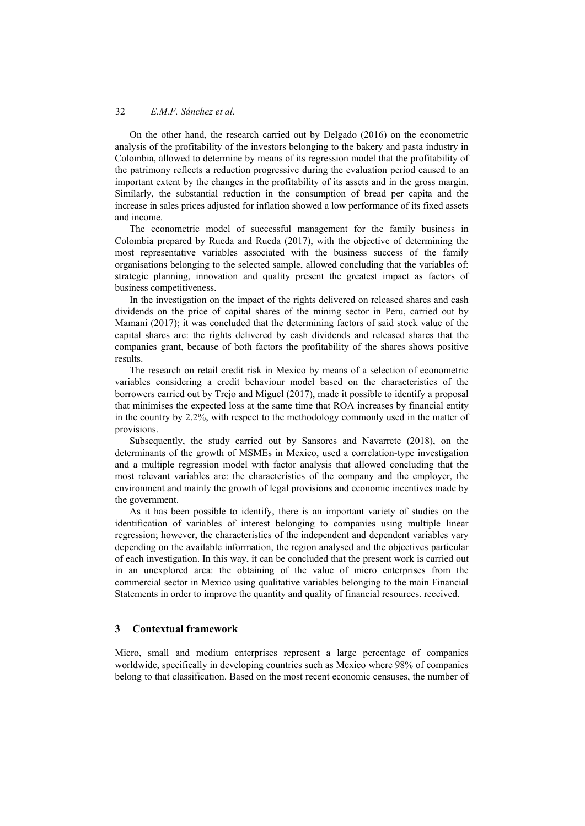On the other hand, the research carried out by Delgado (2016) on the econometric analysis of the profitability of the investors belonging to the bakery and pasta industry in Colombia, allowed to determine by means of its regression model that the profitability of the patrimony reflects a reduction progressive during the evaluation period caused to an important extent by the changes in the profitability of its assets and in the gross margin. Similarly, the substantial reduction in the consumption of bread per capita and the increase in sales prices adjusted for inflation showed a low performance of its fixed assets and income.

The econometric model of successful management for the family business in Colombia prepared by Rueda and Rueda (2017), with the objective of determining the most representative variables associated with the business success of the family organisations belonging to the selected sample, allowed concluding that the variables of: strategic planning, innovation and quality present the greatest impact as factors of business competitiveness.

In the investigation on the impact of the rights delivered on released shares and cash dividends on the price of capital shares of the mining sector in Peru, carried out by Mamani (2017); it was concluded that the determining factors of said stock value of the capital shares are: the rights delivered by cash dividends and released shares that the companies grant, because of both factors the profitability of the shares shows positive results.

The research on retail credit risk in Mexico by means of a selection of econometric variables considering a credit behaviour model based on the characteristics of the borrowers carried out by Trejo and Miguel (2017), made it possible to identify a proposal that minimises the expected loss at the same time that ROA increases by financial entity in the country by 2.2%, with respect to the methodology commonly used in the matter of provisions.

Subsequently, the study carried out by Sansores and Navarrete (2018), on the determinants of the growth of MSMEs in Mexico, used a correlation-type investigation and a multiple regression model with factor analysis that allowed concluding that the most relevant variables are: the characteristics of the company and the employer, the environment and mainly the growth of legal provisions and economic incentives made by the government.

As it has been possible to identify, there is an important variety of studies on the identification of variables of interest belonging to companies using multiple linear regression; however, the characteristics of the independent and dependent variables vary depending on the available information, the region analysed and the objectives particular of each investigation. In this way, it can be concluded that the present work is carried out in an unexplored area: the obtaining of the value of micro enterprises from the commercial sector in Mexico using qualitative variables belonging to the main Financial Statements in order to improve the quantity and quality of financial resources. received.

## **3 Contextual framework**

Micro, small and medium enterprises represent a large percentage of companies worldwide, specifically in developing countries such as Mexico where 98% of companies belong to that classification. Based on the most recent economic censuses, the number of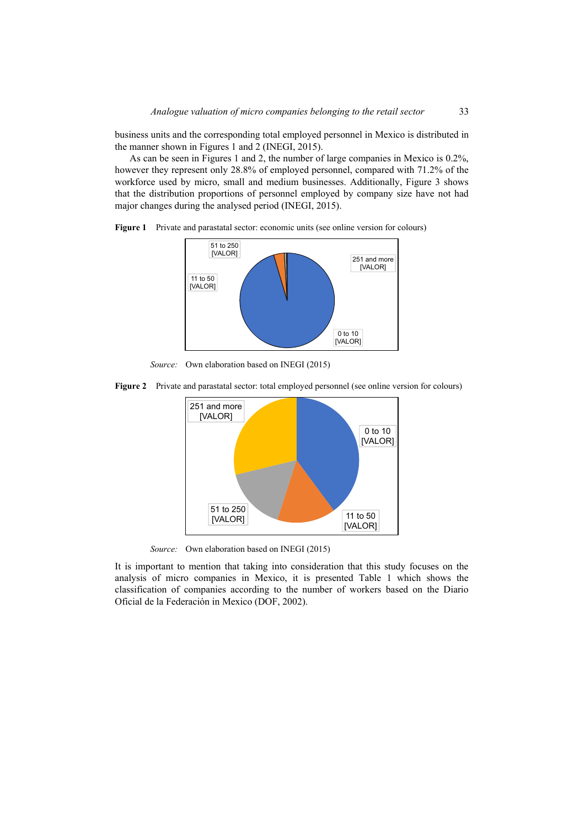business units and the corresponding total employed personnel in Mexico is distributed in the manner shown in Figures 1 and 2 (INEGI, 2015).

As can be seen in Figures 1 and 2, the number of large companies in Mexico is 0.2%, however they represent only 28.8% of employed personnel, compared with 71.2% of the workforce used by micro, small and medium businesses. Additionally, Figure 3 shows that the distribution proportions of personnel employed by company size have not had major changes during the analysed period (INEGI, 2015).



**Figure 1** Private and parastatal sector: economic units (see online version for colours)

*Source:* Own elaboration based on INEGI (2015)

**Figure 2** Private and parastatal sector: total employed personnel (see online version for colours)



*Source:* Own elaboration based on INEGI (2015)

It is important to mention that taking into consideration that this study focuses on the analysis of micro companies in Mexico, it is presented Table 1 which shows the classification of companies according to the number of workers based on the Diario Oficial de la Federación in Mexico (DOF, 2002).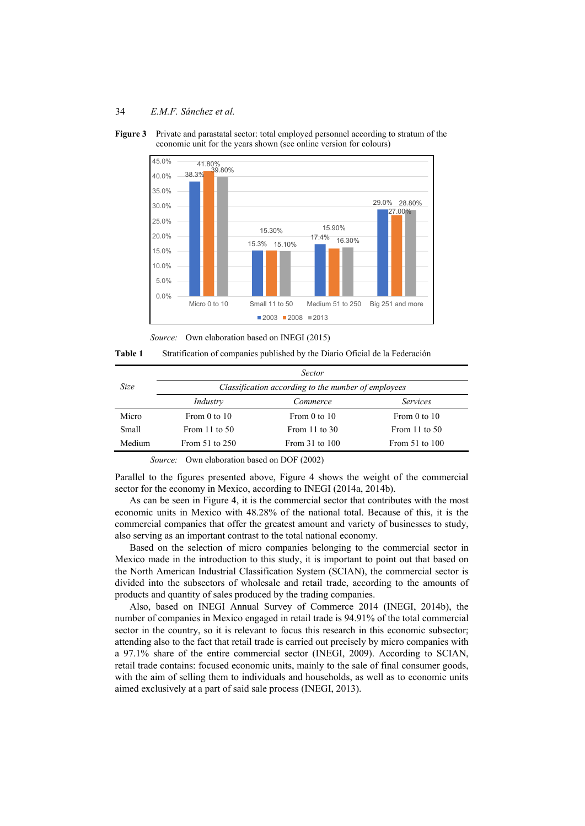



*Source:* Own elaboration based on INEGI (2015)

**Table 1** Stratification of companies published by the Diario Oficial de la Federación

|        |                                                     | <b>Sector</b>      |                    |  |  |
|--------|-----------------------------------------------------|--------------------|--------------------|--|--|
| Size   | Classification according to the number of employees |                    |                    |  |  |
|        | Industry                                            | Commerce           | <i>Services</i>    |  |  |
| Micro  | From $0$ to $10$                                    | From $0$ to $10$   | From $0$ to $10$   |  |  |
| Small  | From $11$ to $50$                                   | From $11$ to $30$  | From $11$ to $50$  |  |  |
| Medium | From 51 to 250                                      | From $31$ to $100$ | From $51$ to $100$ |  |  |

*Source:* Own elaboration based on DOF (2002)

Parallel to the figures presented above, Figure 4 shows the weight of the commercial sector for the economy in Mexico, according to INEGI (2014a, 2014b).

As can be seen in Figure 4, it is the commercial sector that contributes with the most economic units in Mexico with 48.28% of the national total. Because of this, it is the commercial companies that offer the greatest amount and variety of businesses to study, also serving as an important contrast to the total national economy.

Based on the selection of micro companies belonging to the commercial sector in Mexico made in the introduction to this study, it is important to point out that based on the North American Industrial Classification System (SCIAN), the commercial sector is divided into the subsectors of wholesale and retail trade, according to the amounts of products and quantity of sales produced by the trading companies.

Also, based on INEGI Annual Survey of Commerce 2014 (INEGI, 2014b), the number of companies in Mexico engaged in retail trade is 94.91% of the total commercial sector in the country, so it is relevant to focus this research in this economic subsector; attending also to the fact that retail trade is carried out precisely by micro companies with a 97.1% share of the entire commercial sector (INEGI, 2009). According to SCIAN, retail trade contains: focused economic units, mainly to the sale of final consumer goods, with the aim of selling them to individuals and households, as well as to economic units aimed exclusively at a part of said sale process (INEGI, 2013).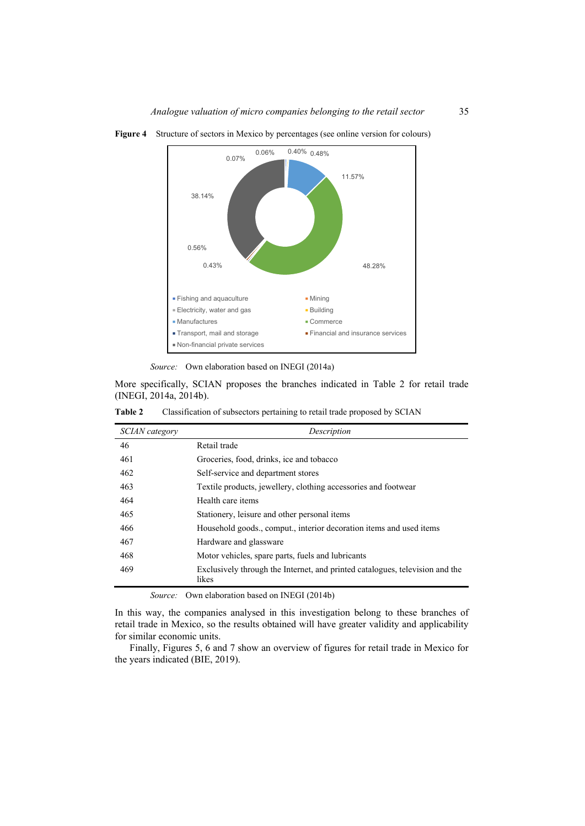

**Figure 4** Structure of sectors in Mexico by percentages (see online version for colours)

*Source:* Own elaboration based on INEGI (2014a)

More specifically, SCIAN proposes the branches indicated in Table 2 for retail trade (INEGI, 2014a, 2014b).

| Table 2<br>Classification of subsectors pertaining to retail trade proposed by SCIAN |  |  |
|--------------------------------------------------------------------------------------|--|--|
|--------------------------------------------------------------------------------------|--|--|

| SCIAN category | Description                                                                           |  |  |  |
|----------------|---------------------------------------------------------------------------------------|--|--|--|
| 46             | Retail trade                                                                          |  |  |  |
| 461            | Groceries, food, drinks, ice and tobacco                                              |  |  |  |
| 462            | Self-service and department stores                                                    |  |  |  |
| 463            | Textile products, jewellery, clothing accessories and footwear                        |  |  |  |
| 464            | Health care items                                                                     |  |  |  |
| 465            | Stationery, leisure and other personal items                                          |  |  |  |
| 466            | Household goods., comput., interior decoration items and used items                   |  |  |  |
| 467            | Hardware and glassware                                                                |  |  |  |
| 468            | Motor vehicles, spare parts, fuels and lubricants                                     |  |  |  |
| 469            | Exclusively through the Internet, and printed catalogues, television and the<br>likes |  |  |  |

*Source:* Own elaboration based on INEGI (2014b)

In this way, the companies analysed in this investigation belong to these branches of retail trade in Mexico, so the results obtained will have greater validity and applicability for similar economic units.

Finally, Figures 5, 6 and 7 show an overview of figures for retail trade in Mexico for the years indicated (BIE, 2019).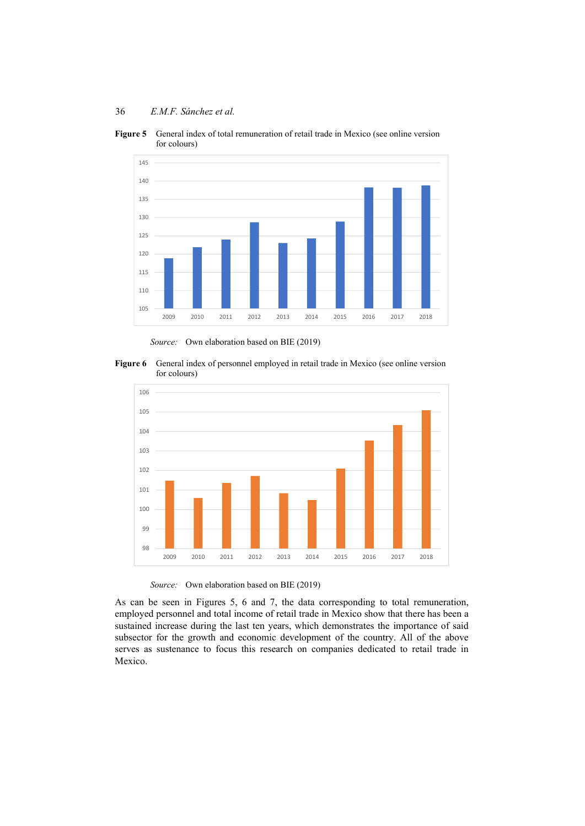**Figure 5** General index of total remuneration of retail trade in Mexico (see online version for colours)



*Source:* Own elaboration based on BIE (2019)





*Source:* Own elaboration based on BIE (2019)

As can be seen in Figures 5, 6 and 7, the data corresponding to total remuneration, employed personnel and total income of retail trade in Mexico show that there has been a sustained increase during the last ten years, which demonstrates the importance of said subsector for the growth and economic development of the country. All of the above serves as sustenance to focus this research on companies dedicated to retail trade in Mexico.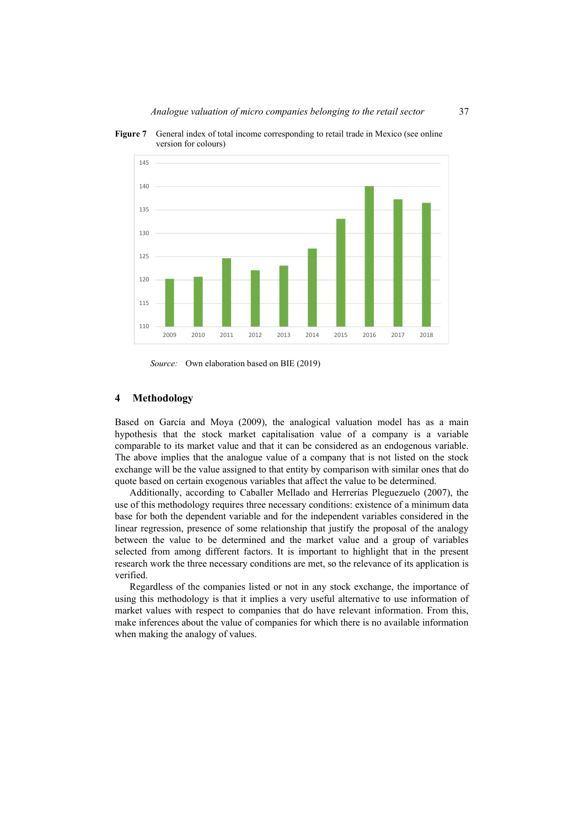



*Source:* Own elaboration based on BIE (2019)

#### **4 Methodology**

Based on García and Moya (2009), the analogical valuation model has as a main hypothesis that the stock market capitalisation value of a company is a variable comparable to its market value and that it can be considered as an endogenous variable. The above implies that the analogue value of a company that is not listed on the stock exchange will be the value assigned to that entity by comparison with similar ones that do quote based on certain exogenous variables that affect the value to be determined.

Additionally, according to Caballer Mellado and Herrerías Pleguezuelo (2007), the use of this methodology requires three necessary conditions: existence of a minimum data base for both the dependent variable and for the independent variables considered in the linear regression, presence of some relationship that justify the proposal of the analogy between the value to be determined and the market value and a group of variables selected from among different factors. It is important to highlight that in the present research work the three necessary conditions are met, so the relevance of its application is verified.

Regardless of the companies listed or not in any stock exchange, the importance of using this methodology is that it implies a very useful alternative to use information of market values with respect to companies that do have relevant information. From this, make inferences about the value of companies for which there is no available information when making the analogy of values.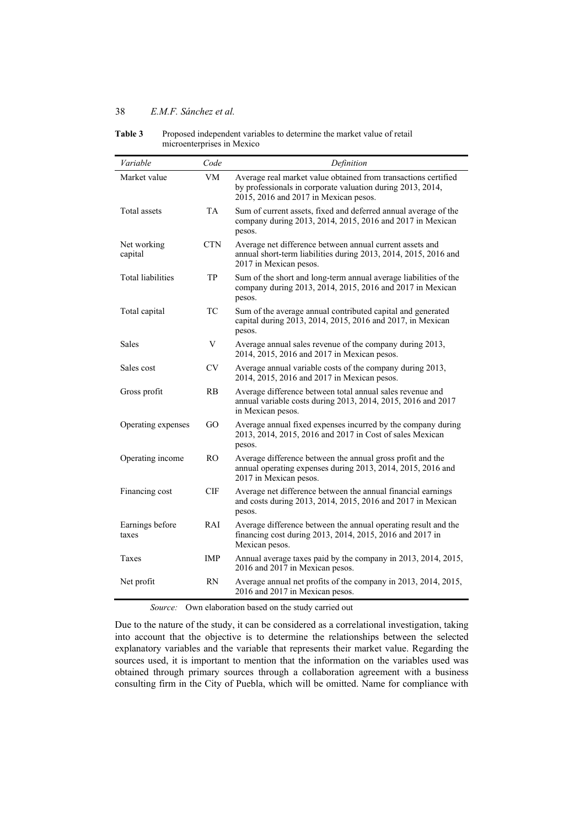| Variable                 | Code           | Definition                                                                                                                                                            |
|--------------------------|----------------|-----------------------------------------------------------------------------------------------------------------------------------------------------------------------|
| Market value             | VM             | Average real market value obtained from transactions certified<br>by professionals in corporate valuation during 2013, 2014,<br>2015, 2016 and 2017 in Mexican pesos. |
| Total assets             | TA             | Sum of current assets, fixed and deferred annual average of the<br>company during 2013, 2014, 2015, 2016 and 2017 in Mexican<br>pesos.                                |
| Net working<br>capital   | <b>CTN</b>     | Average net difference between annual current assets and<br>annual short-term liabilities during 2013, 2014, 2015, 2016 and<br>2017 in Mexican pesos.                 |
| Total liabilities        | TP             | Sum of the short and long-term annual average liabilities of the<br>company during 2013, 2014, 2015, 2016 and 2017 in Mexican<br>pesos.                               |
| Total capital            | TC             | Sum of the average annual contributed capital and generated<br>capital during 2013, 2014, 2015, 2016 and 2017, in Mexican<br>pesos.                                   |
| <b>Sales</b>             | V              | Average annual sales revenue of the company during 2013,<br>2014, 2015, 2016 and 2017 in Mexican pesos.                                                               |
| Sales cost               | <b>CV</b>      | Average annual variable costs of the company during 2013,<br>2014, 2015, 2016 and 2017 in Mexican pesos.                                                              |
| Gross profit             | RB             | Average difference between total annual sales revenue and<br>annual variable costs during 2013, 2014, 2015, 2016 and 2017<br>in Mexican pesos.                        |
| Operating expenses       | GO.            | Average annual fixed expenses incurred by the company during<br>2013, 2014, 2015, 2016 and 2017 in Cost of sales Mexican<br>pesos.                                    |
| Operating income         | R <sub>O</sub> | Average difference between the annual gross profit and the<br>annual operating expenses during 2013, 2014, 2015, 2016 and<br>2017 in Mexican pesos.                   |
| Financing cost           | CIF            | Average net difference between the annual financial earnings<br>and costs during 2013, 2014, 2015, 2016 and 2017 in Mexican<br>pesos.                                 |
| Earnings before<br>taxes | <b>RAI</b>     | Average difference between the annual operating result and the<br>financing cost during 2013, 2014, 2015, 2016 and 2017 in<br>Mexican pesos.                          |
| Taxes                    | IMP            | Annual average taxes paid by the company in 2013, 2014, 2015,<br>2016 and 2017 in Mexican pesos.                                                                      |
| Net profit               | <b>RN</b>      | Average annual net profits of the company in 2013, 2014, 2015,<br>2016 and 2017 in Mexican pesos.                                                                     |

**Table 3** Proposed independent variables to determine the market value of retail microenterprises in Mexico

Due to the nature of the study, it can be considered as a correlational investigation, taking into account that the objective is to determine the relationships between the selected explanatory variables and the variable that represents their market value. Regarding the sources used, it is important to mention that the information on the variables used was obtained through primary sources through a collaboration agreement with a business consulting firm in the City of Puebla, which will be omitted. Name for compliance with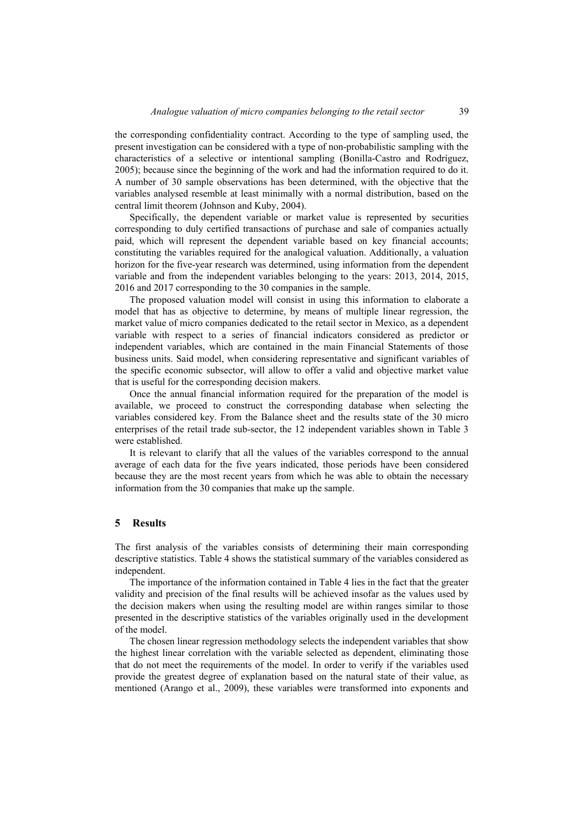the corresponding confidentiality contract. According to the type of sampling used, the present investigation can be considered with a type of non-probabilistic sampling with the characteristics of a selective or intentional sampling (Bonilla-Castro and Rodríguez, 2005); because since the beginning of the work and had the information required to do it. A number of 30 sample observations has been determined, with the objective that the variables analysed resemble at least minimally with a normal distribution, based on the central limit theorem (Johnson and Kuby, 2004).

Specifically, the dependent variable or market value is represented by securities corresponding to duly certified transactions of purchase and sale of companies actually paid, which will represent the dependent variable based on key financial accounts; constituting the variables required for the analogical valuation. Additionally, a valuation horizon for the five-year research was determined, using information from the dependent variable and from the independent variables belonging to the years: 2013, 2014, 2015, 2016 and 2017 corresponding to the 30 companies in the sample.

The proposed valuation model will consist in using this information to elaborate a model that has as objective to determine, by means of multiple linear regression, the market value of micro companies dedicated to the retail sector in Mexico, as a dependent variable with respect to a series of financial indicators considered as predictor or independent variables, which are contained in the main Financial Statements of those business units. Said model, when considering representative and significant variables of the specific economic subsector, will allow to offer a valid and objective market value that is useful for the corresponding decision makers.

Once the annual financial information required for the preparation of the model is available, we proceed to construct the corresponding database when selecting the variables considered key. From the Balance sheet and the results state of the 30 micro enterprises of the retail trade sub-sector, the 12 independent variables shown in Table 3 were established.

It is relevant to clarify that all the values of the variables correspond to the annual average of each data for the five years indicated, those periods have been considered because they are the most recent years from which he was able to obtain the necessary information from the 30 companies that make up the sample.

#### **5 Results**

The first analysis of the variables consists of determining their main corresponding descriptive statistics. Table 4 shows the statistical summary of the variables considered as independent.

The importance of the information contained in Table 4 lies in the fact that the greater validity and precision of the final results will be achieved insofar as the values used by the decision makers when using the resulting model are within ranges similar to those presented in the descriptive statistics of the variables originally used in the development of the model.

The chosen linear regression methodology selects the independent variables that show the highest linear correlation with the variable selected as dependent, eliminating those that do not meet the requirements of the model. In order to verify if the variables used provide the greatest degree of explanation based on the natural state of their value, as mentioned (Arango et al., 2009), these variables were transformed into exponents and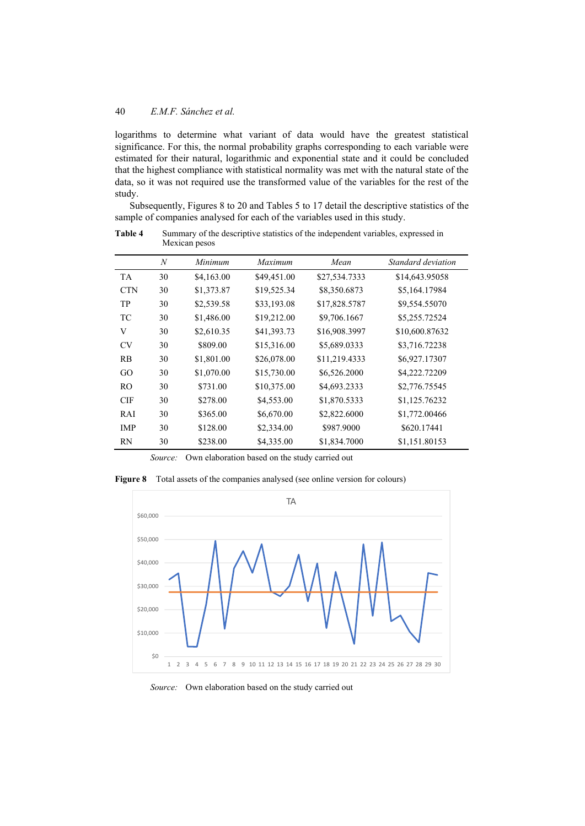logarithms to determine what variant of data would have the greatest statistical significance. For this, the normal probability graphs corresponding to each variable were estimated for their natural, logarithmic and exponential state and it could be concluded that the highest compliance with statistical normality was met with the natural state of the data, so it was not required use the transformed value of the variables for the rest of the study.

Subsequently, Figures 8 to 20 and Tables 5 to 17 detail the descriptive statistics of the sample of companies analysed for each of the variables used in this study.

|                | $\boldsymbol{N}$ | Minimum    | Maximum     | Mean          | Standard deviation |
|----------------|------------------|------------|-------------|---------------|--------------------|
| <b>TA</b>      | 30               | \$4,163.00 | \$49,451.00 | \$27,534.7333 | \$14,643.95058     |
| <b>CTN</b>     | 30               | \$1,373.87 | \$19,525.34 | \$8,350.6873  | \$5,164.17984      |
| TP             | 30               | \$2,539.58 | \$33,193.08 | \$17,828.5787 | \$9,554.55070      |
| TC             | 30               | \$1,486.00 | \$19,212.00 | \$9,706.1667  | \$5,255.72524      |
| V              | 30               | \$2,610.35 | \$41,393.73 | \$16,908.3997 | \$10,600.87632     |
| <b>CV</b>      | 30               | \$809.00   | \$15,316.00 | \$5,689.0333  | \$3,716.72238      |
| RB             | 30               | \$1,801.00 | \$26,078.00 | \$11,219.4333 | \$6,927.17307      |
| GO             | 30               | \$1,070.00 | \$15,730.00 | \$6,526.2000  | \$4,222.72209      |
| R <sub>O</sub> | 30               | \$731.00   | \$10,375.00 | \$4,693.2333  | \$2,776.75545      |
| <b>CIF</b>     | 30               | \$278.00   | \$4,553.00  | \$1,870.5333  | \$1,125.76232      |
| RAI            | 30               | \$365.00   | \$6,670.00  | \$2,822.6000  | \$1,772.00466      |
| IMP            | 30               | \$128.00   | \$2,334.00  | \$987.9000    | \$620.17441        |
| RN             | 30               | \$238.00   | \$4,335.00  | \$1,834.7000  | \$1,151.80153      |

**Table 4** Summary of the descriptive statistics of the independent variables, expressed in Mexican pesos

*Source:* Own elaboration based on the study carried out

**Figure 8** Total assets of the companies analysed (see online version for colours)



*Source:* Own elaboration based on the study carried out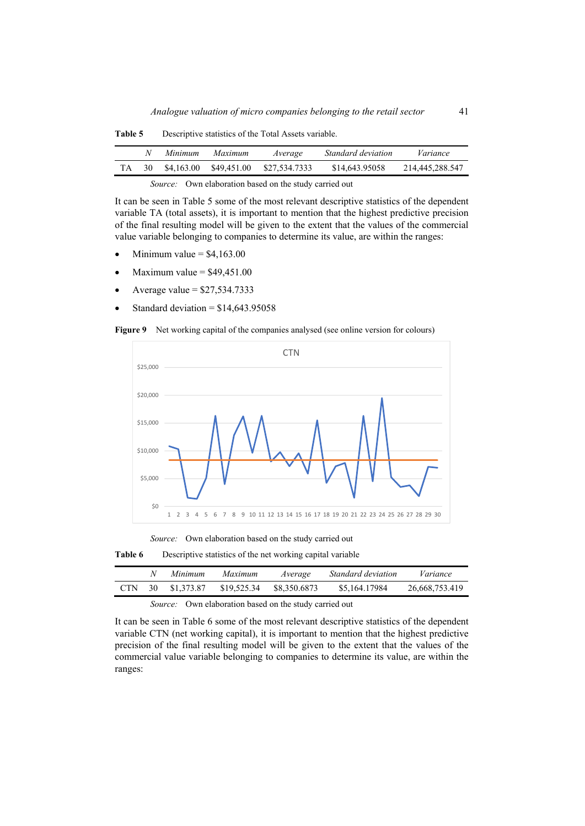| \$4,163.00<br>\$27,534,7333<br>\$14,643.95058<br>\$49,451.00<br>30 |  | Minimum | <i>Maximum</i> | Average | Standard deviation | Variance        |
|--------------------------------------------------------------------|--|---------|----------------|---------|--------------------|-----------------|
|                                                                    |  |         |                |         |                    | 214,445,288.547 |

**Table 5** Descriptive statistics of the Total Assets variable.

It can be seen in Table 5 some of the most relevant descriptive statistics of the dependent variable TA (total assets), it is important to mention that the highest predictive precision of the final resulting model will be given to the extent that the values of the commercial value variable belonging to companies to determine its value, are within the ranges:

- Minimum value  $=$  \$4,163,00
- Maximum value  $=$  \$49,451.00
- Average value = \$27,534.7333
- Standard deviation  $= $14,643.95058$

Figure 9 Net working capital of the companies analysed (see online version for colours)



*Source:* Own elaboration based on the study carried out

| Table 6 | Descriptive statistics of the net working capital variable |  |  |  |  |
|---------|------------------------------------------------------------|--|--|--|--|
|---------|------------------------------------------------------------|--|--|--|--|

|            |    | Minimum    | <i>Maximum</i> | Average      | Standard deviation | Variance       |
|------------|----|------------|----------------|--------------|--------------------|----------------|
| <b>CTN</b> | 30 | \$1,373.87 | \$19,525.34    | \$8,350.6873 | \$5,164,17984      | 26,668,753,419 |
|            |    |            |                |              |                    |                |

#### *Source:* Own elaboration based on the study carried out

It can be seen in Table 6 some of the most relevant descriptive statistics of the dependent variable CTN (net working capital), it is important to mention that the highest predictive precision of the final resulting model will be given to the extent that the values of the commercial value variable belonging to companies to determine its value, are within the ranges: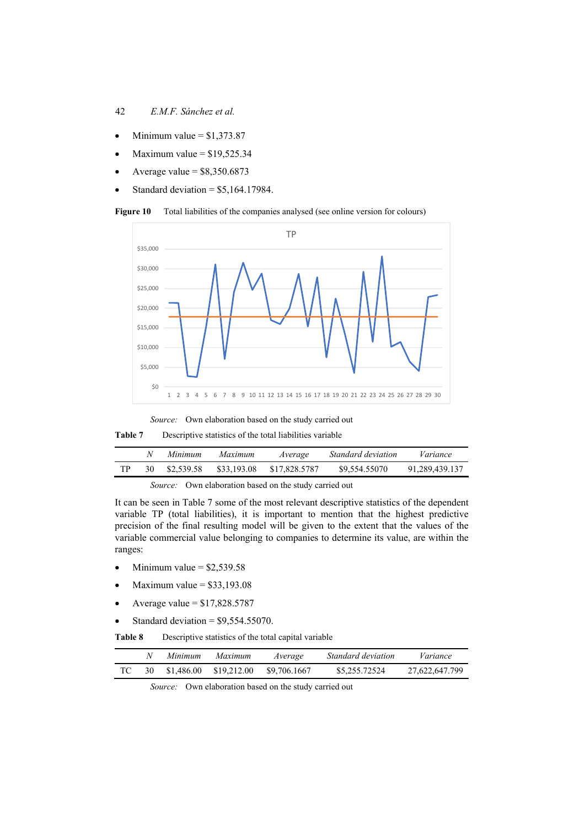### 42 *E.M.F. Sánchez et al.*

- $\bullet$  Minimum value = \$1,373.87
- Maximum value  $=$  \$19,525.34
- Average value  $=$  \$8,350.6873
- Standard deviation  $=$  \$5,164.17984.

**Figure 10** Total liabilities of the companies analysed (see online version for colours)



*Source:* Own elaboration based on the study carried out

**Table 7** Descriptive statistics of the total liabilities variable

|  | Minimum    | Maximum     | Average       | Standard deviation | Variance       |
|--|------------|-------------|---------------|--------------------|----------------|
|  | \$2,539.58 | \$33,193.08 | \$17,828,5787 | \$9,554.55070      | 91.289.439.137 |

*Source:* Own elaboration based on the study carried out

It can be seen in Table 7 some of the most relevant descriptive statistics of the dependent variable TP (total liabilities), it is important to mention that the highest predictive precision of the final resulting model will be given to the extent that the values of the variable commercial value belonging to companies to determine its value, are within the ranges:

- Minimum value  $=$  \$2,539.58
- $\bullet$  Maximum value = \$33,193.08
- Average value = \$17,828.5787
- Standard deviation  $=$  \$9,554,55070.

**Table 8** Descriptive statistics of the total capital variable

|     | Minimum    | Maximum     | Average      | Standard deviation | Variance       |
|-----|------------|-------------|--------------|--------------------|----------------|
| -30 | \$1.486.00 | \$19,212.00 | \$9,706.1667 | \$5,255,72524      | 27,622,647.799 |

*Source:* Own elaboration based on the study carried out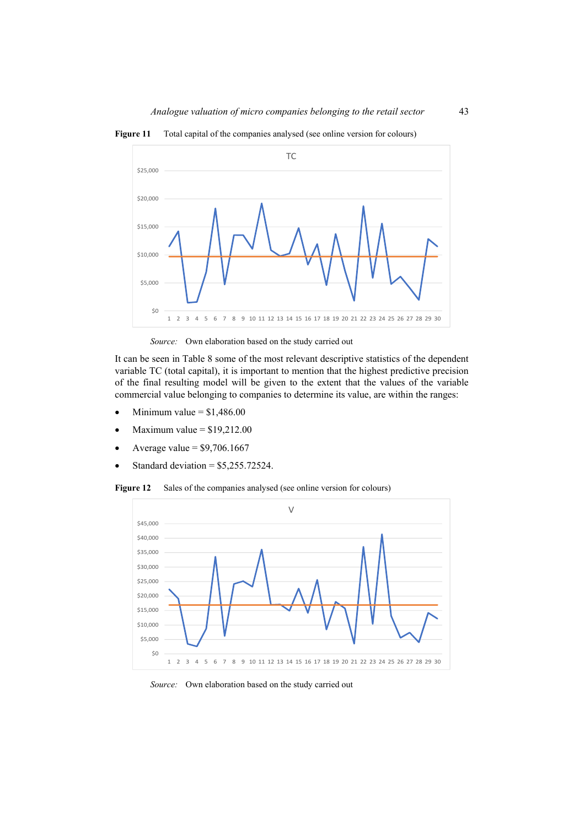**Figure 11** Total capital of the companies analysed (see online version for colours)



*Source:* Own elaboration based on the study carried out

It can be seen in Table 8 some of the most relevant descriptive statistics of the dependent variable TC (total capital), it is important to mention that the highest predictive precision of the final resulting model will be given to the extent that the values of the variable commercial value belonging to companies to determine its value, are within the ranges:

- Minimum value  $= $1,486.00$
- Maximum value  $= $19,212.00$
- Average value  $= $9,706.1667$
- Standard deviation =  $$5,255.72524$ .

Figure 12 Sales of the companies analysed (see online version for colours)



*Source:* Own elaboration based on the study carried out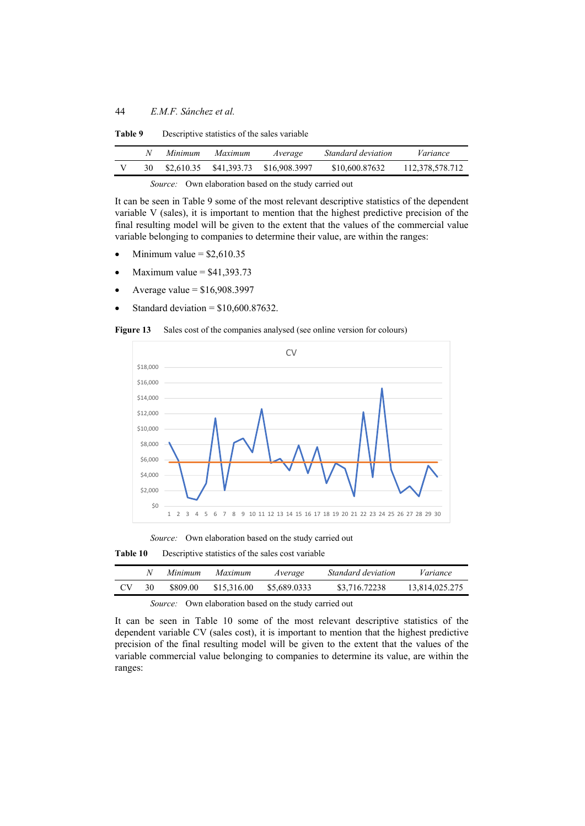| \$41,393.73 \$16,908,3997<br>\$2,610.35<br>30 | \$10,600.87632 | 112,378,578,712 |
|-----------------------------------------------|----------------|-----------------|

**Table 9** Descriptive statistics of the sales variable

It can be seen in Table 9 some of the most relevant descriptive statistics of the dependent variable V (sales), it is important to mention that the highest predictive precision of the final resulting model will be given to the extent that the values of the commercial value variable belonging to companies to determine their value, are within the ranges:

- Minimum value  $=$  \$2,610.35
- Maximum value  $=$  \$41,393.73
- Average value  $=$  \$16,908.3997
- Standard deviation =  $$10,600.87632$ .

Figure 13 Sales cost of the companies analysed (see online version for colours)



*Source:* Own elaboration based on the study carried out

**Table 10** Descriptive statistics of the sales cost variable

|     |    | Minimum  | Maximum     | Average      | <i>Standard deviation</i> | Variance       |
|-----|----|----------|-------------|--------------|---------------------------|----------------|
| CV. | 30 | \$809.00 | \$15,316.00 | \$5,689,0333 | \$3,716,72238             | 13.814.025.275 |

### *Source:* Own elaboration based on the study carried out

It can be seen in Table 10 some of the most relevant descriptive statistics of the dependent variable CV (sales cost), it is important to mention that the highest predictive precision of the final resulting model will be given to the extent that the values of the variable commercial value belonging to companies to determine its value, are within the ranges: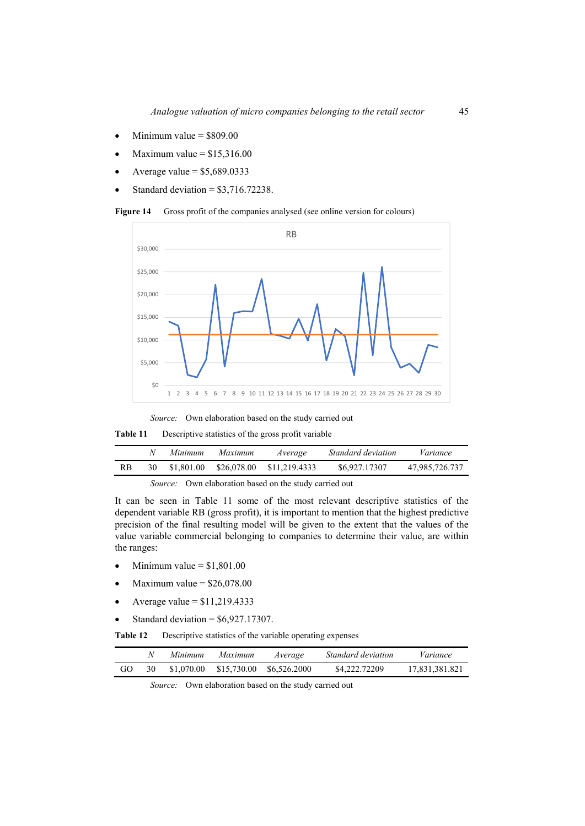- $\bullet$  Minimum value = \$809.00
- Maximum value  $= $15,316.00$
- Average value  $=$  \$5,689.0333
- Standard deviation  $= $3,716.72238$ .

Figure 14 Gross profit of the companies analysed (see online version for colours)



**Table 11** Descriptive statistics of the gross profit variable

|    | Minimum    | Maximum     | Average       | Standard deviation | Variance       |
|----|------------|-------------|---------------|--------------------|----------------|
| RB | \$1,801.00 | \$26,078.00 | \$11,219.4333 | \$6,927,17307      | 47,985,726.737 |

*Source:* Own elaboration based on the study carried out

It can be seen in Table 11 some of the most relevant descriptive statistics of the dependent variable RB (gross profit), it is important to mention that the highest predictive precision of the final resulting model will be given to the extent that the values of the value variable commercial belonging to companies to determine their value, are within the ranges:

- $\bullet$  Minimum value = \$1,801.00
- Maximum value  $=$  \$26,078.00
- Average value  $= $11,219.4333$
- Standard deviation  $=$  \$6,927.17307.

**Table 12** Descriptive statistics of the variable operating expenses

|    |    | Minimum    | Maximum | Average                  | Standard deviation | Variance       |
|----|----|------------|---------|--------------------------|--------------------|----------------|
| GO | 30 | \$1,070.00 |         | \$15,730.00 \$6,526,2000 | \$4,222.72209      | 17,831,381.821 |

*Source:* Own elaboration based on the study carried out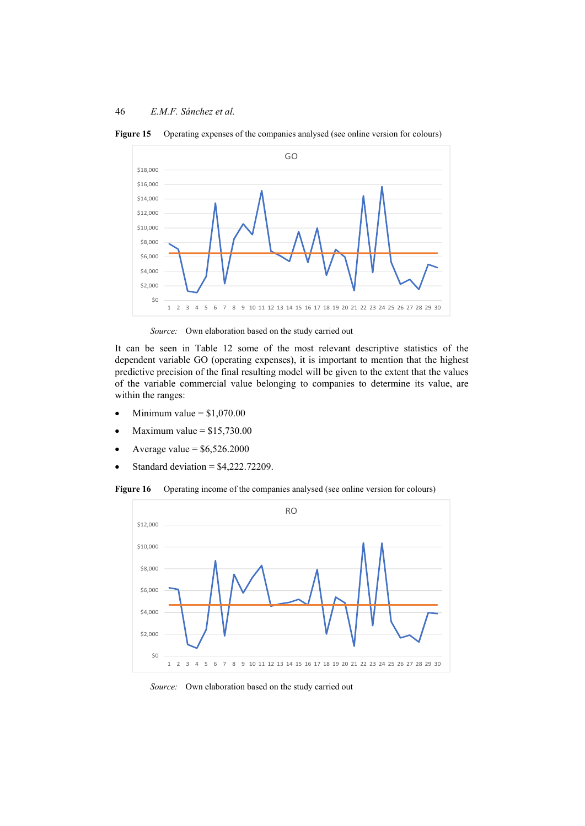

Figure 15 Operating expenses of the companies analysed (see online version for colours)

*Source:* Own elaboration based on the study carried out

It can be seen in Table 12 some of the most relevant descriptive statistics of the dependent variable GO (operating expenses), it is important to mention that the highest predictive precision of the final resulting model will be given to the extent that the values of the variable commercial value belonging to companies to determine its value, are within the ranges:

- $\bullet$  Minimum value = \$1,070.00
- $\bullet$  Maximum value = \$15,730.00
- Average value  $=$  \$6,526.2000
- Standard deviation  $=$  \$4,222.72209.

Figure 16 Operating income of the companies analysed (see online version for colours)



*Source:* Own elaboration based on the study carried out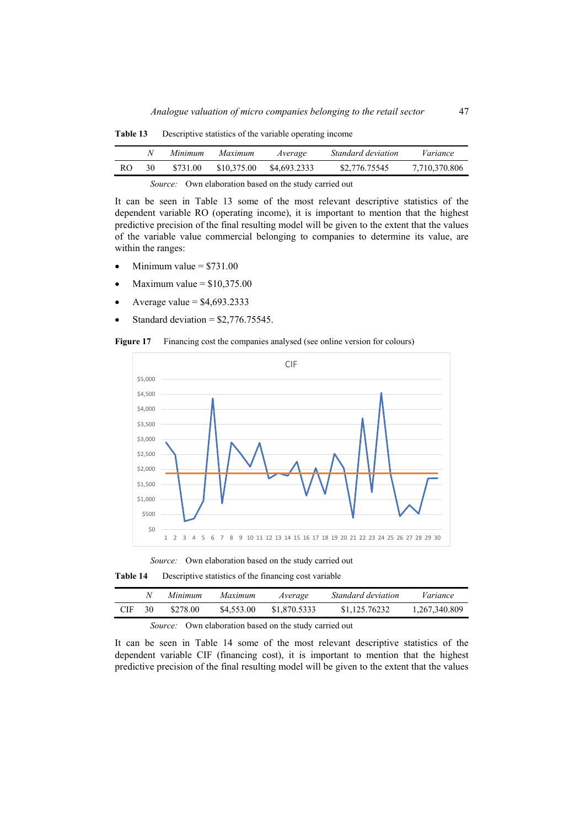|     |    | Minimum  | Maximum     | Average      | Standard deviation | Variance      |
|-----|----|----------|-------------|--------------|--------------------|---------------|
| RO. | 30 | \$731.00 | \$10,375.00 | \$4,693,2333 | \$2,776,75545      | 7,710,370.806 |
|     |    |          | .           |              |                    |               |

**Table 13** Descriptive statistics of the variable operating income

It can be seen in Table 13 some of the most relevant descriptive statistics of the dependent variable RO (operating income), it is important to mention that the highest predictive precision of the final resulting model will be given to the extent that the values of the variable value commercial belonging to companies to determine its value, are within the ranges:

- Minimum value  $= $731.00$
- Maximum value  $=$  \$10,375.00
- Average value  $=$  \$4,693.2333
- Standard deviation  $=$  \$2,776.75545.

**Figure 17** Financing cost the companies analysed (see online version for colours)



*Source:* Own elaboration based on the study carried out

**Table 14** Descriptive statistics of the financing cost variable

|     |    | Minimum  | Maximum    | Average      | <i>Standard deviation</i> | Variance      |
|-----|----|----------|------------|--------------|---------------------------|---------------|
| CIF | 30 | \$278.00 | \$4,553.00 | \$1,870.5333 | \$1,125,76232             | 1,267,340.809 |

*Source:* Own elaboration based on the study carried out

It can be seen in Table 14 some of the most relevant descriptive statistics of the dependent variable CIF (financing cost), it is important to mention that the highest predictive precision of the final resulting model will be given to the extent that the values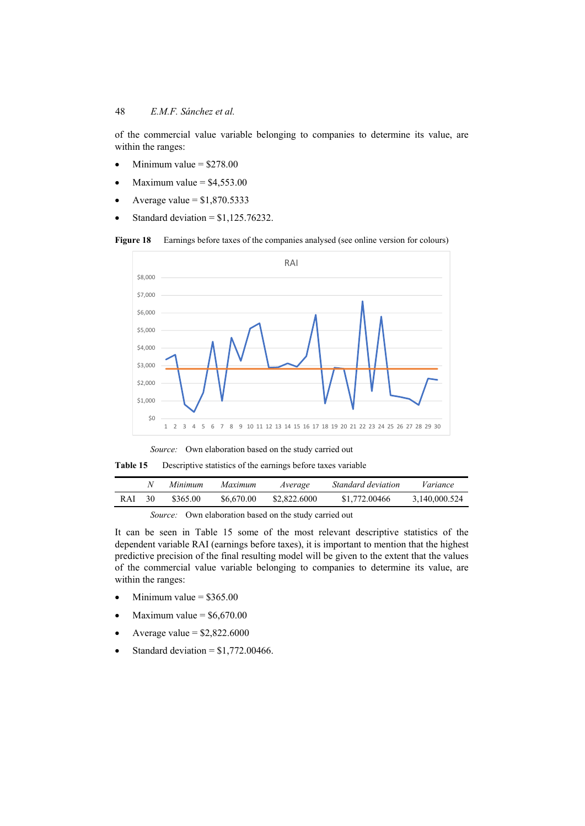of the commercial value variable belonging to companies to determine its value, are within the ranges:

- Minimum value  $=$  \$278.00
- Maximum value  $= $4,553.00$
- Average value  $= $1,870.5333$
- Standard deviation  $= $1,125.76232$ .

Figure 18 Earnings before taxes of the companies analysed (see online version for colours)



*Source:* Own elaboration based on the study carried out

**Table 15** Descriptive statistics of the earnings before taxes variable

|       |    | Minimum  | Maximum    | Average      | Standard deviation | Variance      |
|-------|----|----------|------------|--------------|--------------------|---------------|
| R A I | 30 | \$365.00 | \$6,670.00 | \$2,822,6000 | \$1,772,00466      | 3,140,000.524 |

*Source:* Own elaboration based on the study carried out

It can be seen in Table 15 some of the most relevant descriptive statistics of the dependent variable RAI (earnings before taxes), it is important to mention that the highest predictive precision of the final resulting model will be given to the extent that the values of the commercial value variable belonging to companies to determine its value, are within the ranges:

- $\bullet$  Minimum value = \$365.00
- Maximum value =  $$6,670.00$
- Average value  $=$  \$2,822.6000
- Standard deviation =  $$1,772.00466$ .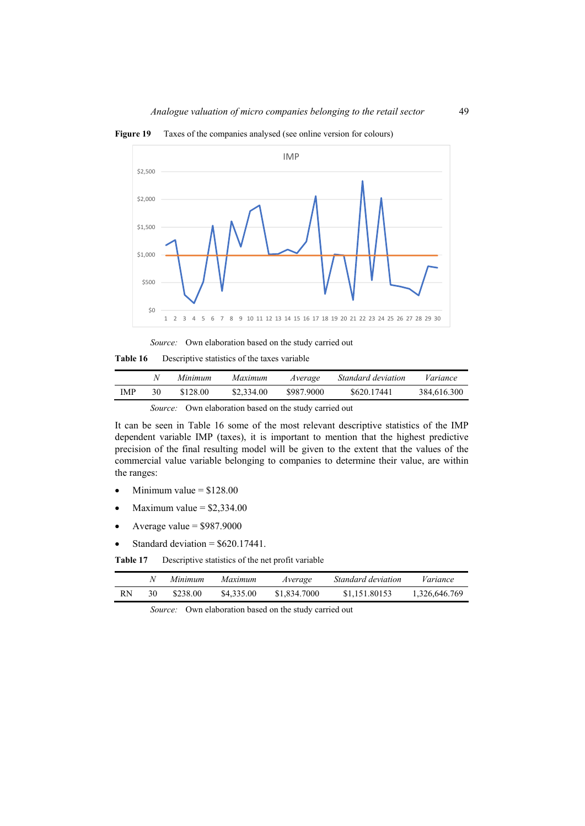Figure 19 Taxes of the companies analysed (see online version for colours)



*Source:* Own elaboration based on the study carried out

**Table 16** Descriptive statistics of the taxes variable

|     | N  | Minimum                | Maximum<br>Average | <i>Standard deviation</i> | Variance    |
|-----|----|------------------------|--------------------|---------------------------|-------------|
| IMP | 30 | \$128.00<br>\$2,334.00 | \$987.9000         | \$620.17441               | 384,616.300 |

It can be seen in Table 16 some of the most relevant descriptive statistics of the IMP dependent variable IMP (taxes), it is important to mention that the highest predictive precision of the final resulting model will be given to the extent that the values of the commercial value variable belonging to companies to determine their value, are within the ranges:

- Minimum value  $= $128.00$
- Maximum value  $=$  \$2,334.00
- Average value  $= $987.9000$
- Standard deviation =  $$620.17441$ .

**Table 17** Descriptive statistics of the net profit variable

|    | Minimum  | Maximum    | Average      | <i>Standard deviation</i> | Variance      |
|----|----------|------------|--------------|---------------------------|---------------|
| RN | \$238.00 | \$4,335.00 | \$1,834.7000 | \$1,151,80153             | 1,326,646.769 |

*Source:* Own elaboration based on the study carried out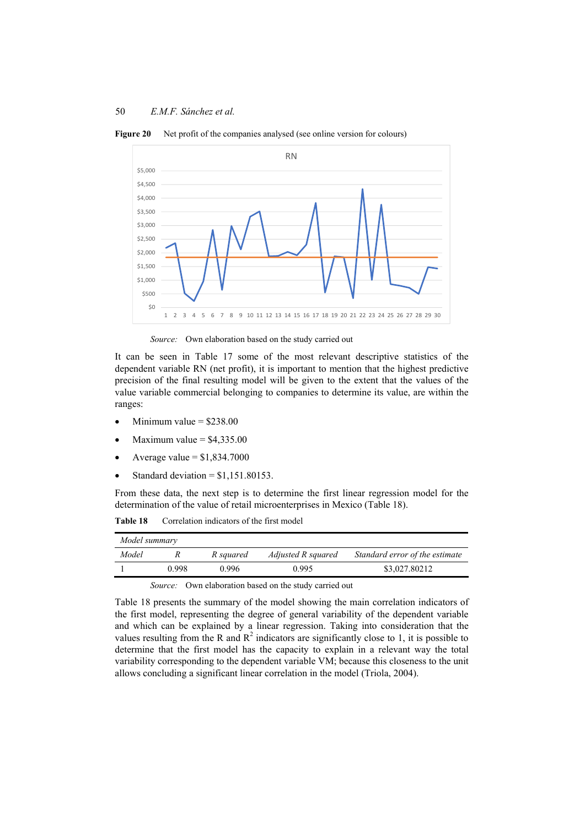

**Figure 20** Net profit of the companies analysed (see online version for colours)

*Source:* Own elaboration based on the study carried out

It can be seen in Table 17 some of the most relevant descriptive statistics of the dependent variable RN (net profit), it is important to mention that the highest predictive precision of the final resulting model will be given to the extent that the values of the value variable commercial belonging to companies to determine its value, are within the ranges:

- Minimum value  $=$  \$238.00
- Maximum value  $=$  \$4,335.00
- Average value  $= $1,834.7000$
- Standard deviation  $= $1,151.80153$ .

From these data, the next step is to determine the first linear regression model for the determination of the value of retail microenterprises in Mexico (Table 18).

**Table 18** Correlation indicators of the first model

| Model summary |       |           |                    |                                |
|---------------|-------|-----------|--------------------|--------------------------------|
| Model         |       | R squared | Adjusted R squared | Standard error of the estimate |
|               | 0.998 | 0.996     | 0.995              | \$3,027.80212                  |

*Source:* Own elaboration based on the study carried out

Table 18 presents the summary of the model showing the main correlation indicators of the first model, representing the degree of general variability of the dependent variable and which can be explained by a linear regression. Taking into consideration that the values resulting from the R and  $R^2$  indicators are significantly close to 1, it is possible to determine that the first model has the capacity to explain in a relevant way the total variability corresponding to the dependent variable VM; because this closeness to the unit allows concluding a significant linear correlation in the model (Triola, 2004).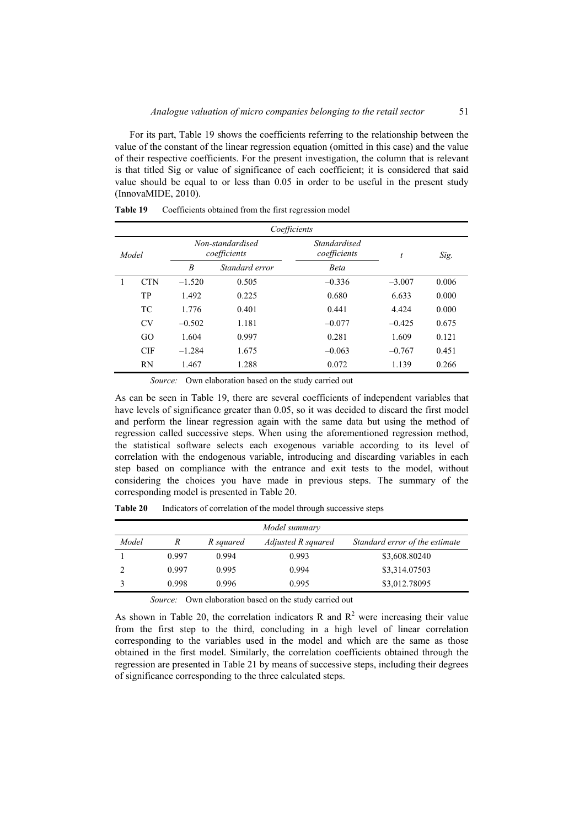For its part, Table 19 shows the coefficients referring to the relationship between the value of the constant of the linear regression equation (omitted in this case) and the value of their respective coefficients. For the present investigation, the column that is relevant is that titled Sig or value of significance of each coefficient; it is considered that said value should be equal to or less than 0.05 in order to be useful in the present study (InnovaMIDE, 2010).

|       | Coefficients |                                  |                |                                     |          |       |  |  |
|-------|--------------|----------------------------------|----------------|-------------------------------------|----------|-------|--|--|
| Model |              | Non-standardised<br>coefficients |                | <b>Standardised</b><br>coefficients | t        | Sig.  |  |  |
|       |              | B                                | Standard error | <b>Beta</b>                         |          |       |  |  |
| 1     | <b>CTN</b>   | $-1.520$                         | 0.505          | $-0.336$                            | $-3.007$ | 0.006 |  |  |
|       | TP           | 1.492                            | 0.225          | 0.680                               | 6.633    | 0.000 |  |  |
|       | <b>TC</b>    | 1.776                            | 0.401          | 0.441                               | 4.424    | 0.000 |  |  |
|       | <b>CV</b>    | $-0.502$                         | 1.181          | $-0.077$                            | $-0.425$ | 0.675 |  |  |
|       | GO           | 1.604                            | 0.997          | 0.281                               | 1.609    | 0.121 |  |  |
|       | <b>CIF</b>   | $-1.284$                         | 1.675          | $-0.063$                            | $-0.767$ | 0.451 |  |  |
|       | <b>RN</b>    | 1.467                            | 1.288          | 0.072                               | 1.139    | 0.266 |  |  |

**Table 19** Coefficients obtained from the first regression model

*Source:* Own elaboration based on the study carried out

As can be seen in Table 19, there are several coefficients of independent variables that have levels of significance greater than 0.05, so it was decided to discard the first model and perform the linear regression again with the same data but using the method of regression called successive steps. When using the aforementioned regression method, the statistical software selects each exogenous variable according to its level of correlation with the endogenous variable, introducing and discarding variables in each step based on compliance with the entrance and exit tests to the model, without considering the choices you have made in previous steps. The summary of the corresponding model is presented in Table 20.

|       |       |           | Model summary      |                                |
|-------|-------|-----------|--------------------|--------------------------------|
| Model |       | R squared | Adjusted R squared | Standard error of the estimate |
|       | 0.997 | 0.994     | 0.993              | \$3,608.80240                  |
|       | 0.997 | 0.995     | 0.994              | \$3,314.07503                  |
|       | 0.998 | 0.996     | 0.995              | \$3,012.78095                  |

**Table 20** Indicators of correlation of the model through successive steps

*Source:* Own elaboration based on the study carried out

As shown in Table 20, the correlation indicators R and  $R<sup>2</sup>$  were increasing their value from the first step to the third, concluding in a high level of linear correlation corresponding to the variables used in the model and which are the same as those obtained in the first model. Similarly, the correlation coefficients obtained through the regression are presented in Table 21 by means of successive steps, including their degrees of significance corresponding to the three calculated steps.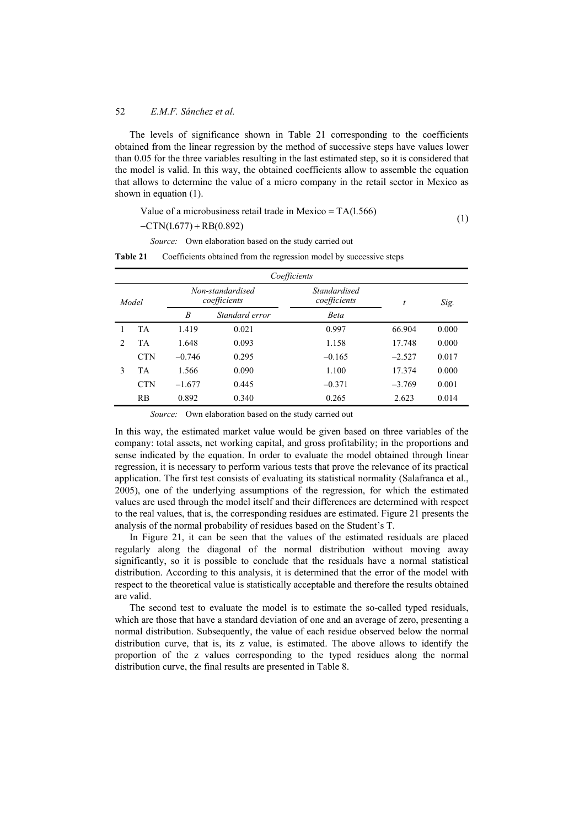The levels of significance shown in Table 21 corresponding to the coefficients obtained from the linear regression by the method of successive steps have values lower than 0.05 for the three variables resulting in the last estimated step, so it is considered that the model is valid. In this way, the obtained coefficients allow to assemble the equation that allows to determine the value of a micro company in the retail sector in Mexico as shown in equation (1).

Value of a microbusiness retail trade in Mexico = 
$$
TA(1.566)
$$
 (1)

 $-CTN(1.677) + RB(0.892)$ 

*Source:* Own elaboration based on the study carried out

**Table 21** Coefficients obtained from the regression model by successive steps

|                | Coefficients |                                  |                |                                     |          |       |  |  |  |
|----------------|--------------|----------------------------------|----------------|-------------------------------------|----------|-------|--|--|--|
| Model          |              | Non-standardised<br>coefficients |                | <b>Standardised</b><br>coefficients | t        | Sig.  |  |  |  |
|                |              | B                                | Standard error | <b>Beta</b>                         |          |       |  |  |  |
|                | <b>TA</b>    | 1.419                            | 0.021          | 0.997                               | 66.904   | 0.000 |  |  |  |
| $\mathfrak{D}$ | <b>TA</b>    | 1.648                            | 0.093          | 1.158                               | 17.748   | 0.000 |  |  |  |
|                | <b>CTN</b>   | $-0.746$                         | 0.295          | $-0.165$                            | $-2.527$ | 0.017 |  |  |  |
| 3              | TA           | 1.566                            | 0.090          | 1.100                               | 17.374   | 0.000 |  |  |  |
|                | <b>CTN</b>   | $-1.677$                         | 0.445          | $-0.371$                            | $-3.769$ | 0.001 |  |  |  |
|                | RB           | 0.892                            | 0.340          | 0.265                               | 2.623    | 0.014 |  |  |  |

*Source:* Own elaboration based on the study carried out

In this way, the estimated market value would be given based on three variables of the company: total assets, net working capital, and gross profitability; in the proportions and sense indicated by the equation. In order to evaluate the model obtained through linear regression, it is necessary to perform various tests that prove the relevance of its practical application. The first test consists of evaluating its statistical normality (Salafranca et al., 2005), one of the underlying assumptions of the regression, for which the estimated values are used through the model itself and their differences are determined with respect to the real values, that is, the corresponding residues are estimated. Figure 21 presents the analysis of the normal probability of residues based on the Student's T.

In Figure 21, it can be seen that the values of the estimated residuals are placed regularly along the diagonal of the normal distribution without moving away significantly, so it is possible to conclude that the residuals have a normal statistical distribution. According to this analysis, it is determined that the error of the model with respect to the theoretical value is statistically acceptable and therefore the results obtained are valid.

The second test to evaluate the model is to estimate the so-called typed residuals, which are those that have a standard deviation of one and an average of zero, presenting a normal distribution. Subsequently, the value of each residue observed below the normal distribution curve, that is, its z value, is estimated. The above allows to identify the proportion of the z values corresponding to the typed residues along the normal distribution curve, the final results are presented in Table 8.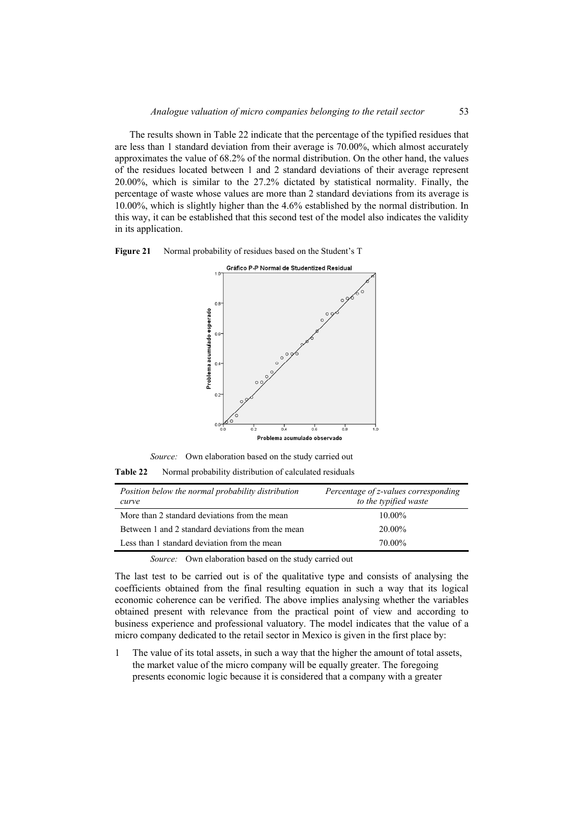The results shown in Table 22 indicate that the percentage of the typified residues that are less than 1 standard deviation from their average is 70.00%, which almost accurately approximates the value of 68.2% of the normal distribution. On the other hand, the values of the residues located between 1 and 2 standard deviations of their average represent 20.00%, which is similar to the 27.2% dictated by statistical normality. Finally, the percentage of waste whose values are more than 2 standard deviations from its average is 10.00%, which is slightly higher than the 4.6% established by the normal distribution. In this way, it can be established that this second test of the model also indicates the validity in its application.





*Source:* Own elaboration based on the study carried out

**Table 22** Normal probability distribution of calculated residuals

| Position below the normal probability distribution<br>curve | Percentage of z-values corresponding<br>to the typified waste |
|-------------------------------------------------------------|---------------------------------------------------------------|
| More than 2 standard deviations from the mean               | $10.00\%$                                                     |
| Between 1 and 2 standard deviations from the mean           | 20.00%                                                        |
| Less than 1 standard deviation from the mean                | 70.00%                                                        |

*Source:* Own elaboration based on the study carried out

The last test to be carried out is of the qualitative type and consists of analysing the coefficients obtained from the final resulting equation in such a way that its logical economic coherence can be verified. The above implies analysing whether the variables obtained present with relevance from the practical point of view and according to business experience and professional valuatory. The model indicates that the value of a micro company dedicated to the retail sector in Mexico is given in the first place by:

1 The value of its total assets, in such a way that the higher the amount of total assets, the market value of the micro company will be equally greater. The foregoing presents economic logic because it is considered that a company with a greater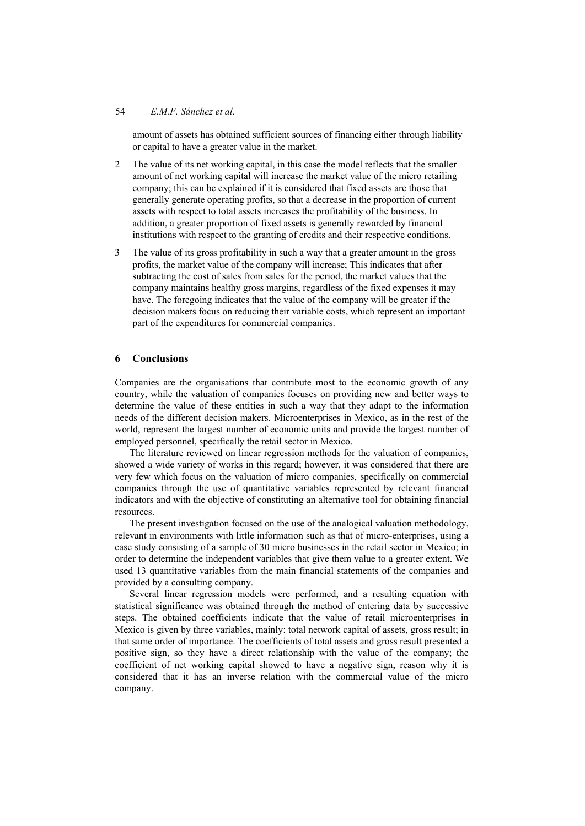### 54 *E.M.F. Sánchez et al.*

amount of assets has obtained sufficient sources of financing either through liability or capital to have a greater value in the market.

- 2 The value of its net working capital, in this case the model reflects that the smaller amount of net working capital will increase the market value of the micro retailing company; this can be explained if it is considered that fixed assets are those that generally generate operating profits, so that a decrease in the proportion of current assets with respect to total assets increases the profitability of the business. In addition, a greater proportion of fixed assets is generally rewarded by financial institutions with respect to the granting of credits and their respective conditions.
- 3 The value of its gross profitability in such a way that a greater amount in the gross profits, the market value of the company will increase; This indicates that after subtracting the cost of sales from sales for the period, the market values that the company maintains healthy gross margins, regardless of the fixed expenses it may have. The foregoing indicates that the value of the company will be greater if the decision makers focus on reducing their variable costs, which represent an important part of the expenditures for commercial companies.

## **6 Conclusions**

Companies are the organisations that contribute most to the economic growth of any country, while the valuation of companies focuses on providing new and better ways to determine the value of these entities in such a way that they adapt to the information needs of the different decision makers. Microenterprises in Mexico, as in the rest of the world, represent the largest number of economic units and provide the largest number of employed personnel, specifically the retail sector in Mexico.

The literature reviewed on linear regression methods for the valuation of companies, showed a wide variety of works in this regard; however, it was considered that there are very few which focus on the valuation of micro companies, specifically on commercial companies through the use of quantitative variables represented by relevant financial indicators and with the objective of constituting an alternative tool for obtaining financial resources.

The present investigation focused on the use of the analogical valuation methodology, relevant in environments with little information such as that of micro-enterprises, using a case study consisting of a sample of 30 micro businesses in the retail sector in Mexico; in order to determine the independent variables that give them value to a greater extent. We used 13 quantitative variables from the main financial statements of the companies and provided by a consulting company.

Several linear regression models were performed, and a resulting equation with statistical significance was obtained through the method of entering data by successive steps. The obtained coefficients indicate that the value of retail microenterprises in Mexico is given by three variables, mainly: total network capital of assets, gross result; in that same order of importance. The coefficients of total assets and gross result presented a positive sign, so they have a direct relationship with the value of the company; the coefficient of net working capital showed to have a negative sign, reason why it is considered that it has an inverse relation with the commercial value of the micro company.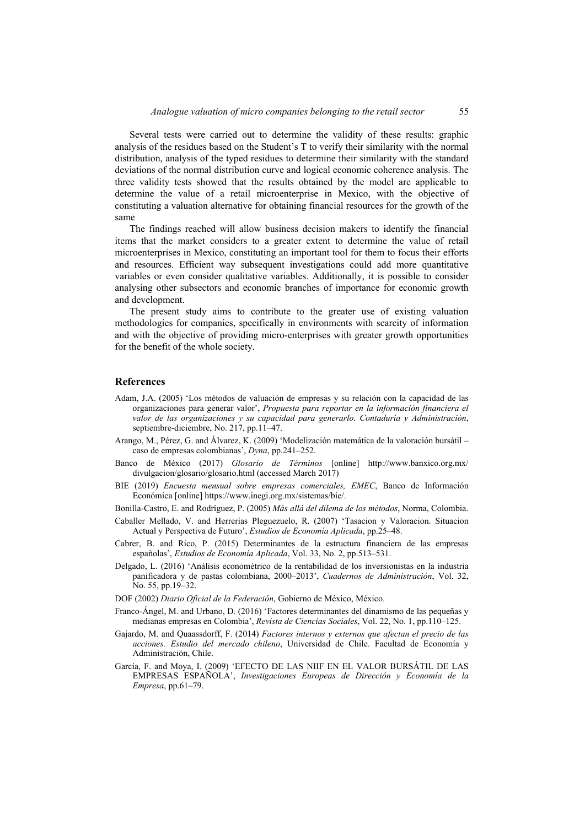Several tests were carried out to determine the validity of these results: graphic analysis of the residues based on the Student's T to verify their similarity with the normal distribution, analysis of the typed residues to determine their similarity with the standard deviations of the normal distribution curve and logical economic coherence analysis. The three validity tests showed that the results obtained by the model are applicable to determine the value of a retail microenterprise in Mexico, with the objective of constituting a valuation alternative for obtaining financial resources for the growth of the same

The findings reached will allow business decision makers to identify the financial items that the market considers to a greater extent to determine the value of retail microenterprises in Mexico, constituting an important tool for them to focus their efforts and resources. Efficient way subsequent investigations could add more quantitative variables or even consider qualitative variables. Additionally, it is possible to consider analysing other subsectors and economic branches of importance for economic growth and development.

The present study aims to contribute to the greater use of existing valuation methodologies for companies, specifically in environments with scarcity of information and with the objective of providing micro-enterprises with greater growth opportunities for the benefit of the whole society.

### **References**

- Adam, J.A. (2005) 'Los métodos de valuación de empresas y su relación con la capacidad de las organizaciones para generar valor', *Propuesta para reportar en la información financiera el valor de las organizaciones y su capacidad para generarlo. Contaduría y Administración*, septiembre-diciembre, No. 217, pp.11–47.
- Arango, M., Pérez, G. and Álvarez, K. (2009) 'Modelización matemática de la valoración bursátil caso de empresas colombianas', *Dyna*, pp.241–252.
- Banco de México (2017) *Glosario de Términos* [online] http://www.banxico.org.mx/ divulgacion/glosario/glosario.html (accessed March 2017)
- BIE (2019) *Encuesta mensual sobre empresas comerciales, EMEC*, Banco de Información Económica [online] https://www.inegi.org.mx/sistemas/bie/.
- Bonilla-Castro, E. and Rodríguez, P. (2005) *Más allá del dilema de los métodos*, Norma, Colombia.
- Caballer Mellado, V. and Herrerías Pleguezuelo, R. (2007) 'Tasacion y Valoracion. Situacion Actual y Perspectiva de Futuro', *Estudios de Economía Aplicada*, pp.25–48.
- Cabrer, B. and Rico, P. (2015) Determinantes de la estructura financiera de las empresas españolas', *Estudios de Economía Aplicada*, Vol. 33, No. 2, pp.513–531.
- Delgado, L. (2016) 'Análisis econométrico de la rentabilidad de los inversionistas en la industria panificadora y de pastas colombiana, 2000–2013', *Cuadernos de Administración*, Vol. 32, No. 55, pp.19–32.
- DOF (2002) *Diario Oficial de la Federación*, Gobierno de México, México.
- Franco-Ángel, M. and Urbano, D. (2016) 'Factores determinantes del dinamismo de las pequeñas y medianas empresas en Colombia', *Revista de Ciencias Sociales*, Vol. 22, No. 1, pp.110–125.
- Gajardo, M. and Quaassdorff, F. (2014) *Factores internos y externos que afectan el precio de las acciones. Estudio del mercado chileno*, Universidad de Chile. Facultad de Economía y Administración, Chile.
- García, F. and Moya, I. (2009) 'EFECTO DE LAS NIIF EN EL VALOR BURSÁTIL DE LAS EMPRESAS ESPAÑOLA', *Investigaciones Europeas de Dirección y Economía de la Empresa*, pp.61–79.